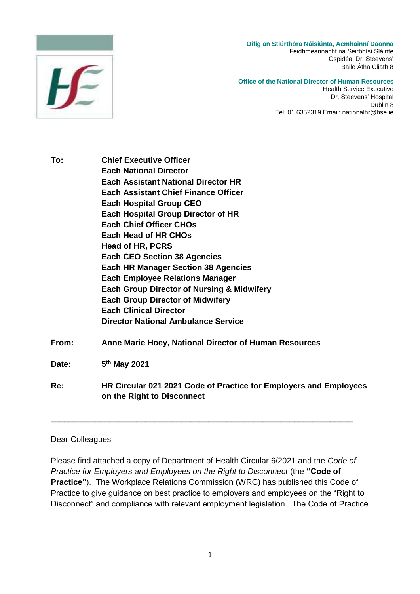



#### **Office of the National Director of Human Resources**

Health Service Executive Dr. Steevens' Hospital Dublin 8 Tel: 01 6352319 Email: nationalhr@hse.ie

**To: Chief Executive Officer Each National Director Each Assistant National Director HR Each Assistant Chief Finance Officer Each Hospital Group CEO Each Hospital Group Director of HR Each Chief Officer CHOs Each Head of HR CHOs Head of HR, PCRS Each CEO Section 38 Agencies Each HR Manager Section 38 Agencies Each Employee Relations Manager Each Group Director of Nursing & Midwifery Each Group Director of Midwifery Each Clinical Director Director National Ambulance Service From: Anne Marie Hoey, National Director of Human Resources** Date: **th May 2021 Re: HR Circular 021 2021 Code of Practice for Employers and Employees on the Right to Disconnect**

#### Dear Colleagues

Please find attached a copy of Department of Health Circular 6/2021 and the *Code of Practice for Employers and Employees on the Right to Disconnect* (the **"Code of Practice"**). The Workplace Relations Commission (WRC) has published this Code of Practice to give guidance on best practice to employers and employees on the "Right to Disconnect" and compliance with relevant employment legislation. The Code of Practice

\_\_\_\_\_\_\_\_\_\_\_\_\_\_\_\_\_\_\_\_\_\_\_\_\_\_\_\_\_\_\_\_\_\_\_\_\_\_\_\_\_\_\_\_\_\_\_\_\_\_\_\_\_\_\_\_\_\_\_\_\_\_\_\_\_\_\_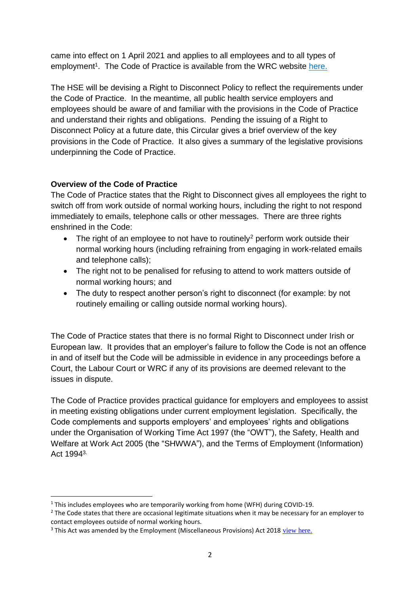came into effect on 1 April 2021 and applies to all employees and to all types of employment<sup>1</sup>. The Code of Practice is available from the WRC website here.

The HSE will be devising a Right to Disconnect Policy to reflect the requirements under the Code of Practice. In the meantime, all public health service employers and employees should be aware of and familiar with the provisions in the Code of Practice and understand their rights and obligations. Pending the issuing of a Right to Disconnect Policy at a future date, this Circular gives a brief overview of the key provisions in the Code of Practice. It also gives a summary of the legislative provisions underpinning the Code of Practice.

## **Overview of the Code of Practice**

The Code of Practice states that the Right to Disconnect gives all employees the right to switch off from work outside of normal working hours, including the right to not respond immediately to emails, telephone calls or other messages. There are three rights enshrined in the Code:

- $\bullet$  The right of an employee to not have to routinely<sup>2</sup> perform work outside their normal working hours (including refraining from engaging in work-related emails and telephone calls);
- The right not to be penalised for refusing to attend to work matters outside of normal working hours; and
- The duty to respect another person's right to disconnect (for example: by not routinely emailing or calling outside normal working hours).

The Code of Practice states that there is no formal Right to Disconnect under Irish or European law. It provides that an employer's failure to follow the Code is not an offence in and of itself but the Code will be admissible in evidence in any proceedings before a Court, the Labour Court or WRC if any of its provisions are deemed relevant to the issues in dispute.

The Code of Practice provides practical guidance for employers and employees to assist in meeting existing obligations under current employment legislation. Specifically, the Code complements and supports employers' and employees' rights and obligations under the Organisation of Working Time Act 1997 (the "OWT"), the Safety, Health and Welfare at Work Act 2005 (the "SHWWA"), and the Terms of Employment (Information) Act 19943.

**<sup>.</sup>** <sup>1</sup> This includes employees who are temporarily working from home (WFH) during COVID-19.

<sup>&</sup>lt;sup>2</sup> The Code states that there are occasional legitimate situations when it may be necessary for an employer to contact employees outside of normal working hours.

<sup>&</sup>lt;sup>3</sup> This Act was amended by the Employment (Miscellaneous Provisions) Act 2018 [view here.](https://www.workplacerelations.ie/en/news-media/workplace_relations_notices/employment-misc-provisions-act-2018.html)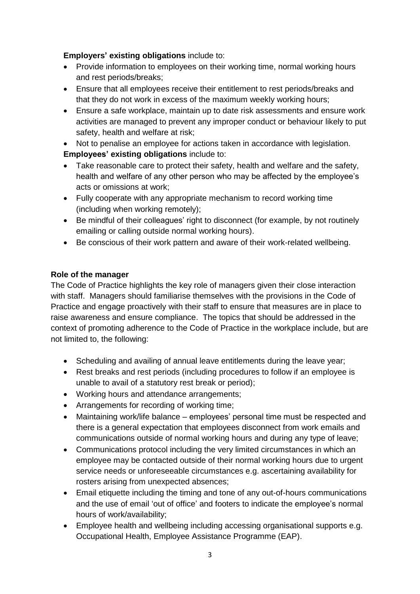#### **Employers' existing obligations** include to:

- Provide information to employees on their working time, normal working hours and rest periods/breaks;
- Ensure that all employees receive their entitlement to rest periods/breaks and that they do not work in excess of the maximum weekly working hours;
- Ensure a safe workplace, maintain up to date risk assessments and ensure work activities are managed to prevent any improper conduct or behaviour likely to put safety, health and welfare at risk;
- Not to penalise an employee for actions taken in accordance with legislation. **Employees' existing obligations** include to:
- Take reasonable care to protect their safety, health and welfare and the safety, health and welfare of any other person who may be affected by the employee's acts or omissions at work;
- Fully cooperate with any appropriate mechanism to record working time (including when working remotely);
- Be mindful of their colleagues' right to disconnect (for example, by not routinely emailing or calling outside normal working hours).
- Be conscious of their work pattern and aware of their work-related wellbeing.

## **Role of the manager**

The Code of Practice highlights the key role of managers given their close interaction with staff. Managers should familiarise themselves with the provisions in the Code of Practice and engage proactively with their staff to ensure that measures are in place to raise awareness and ensure compliance. The topics that should be addressed in the context of promoting adherence to the Code of Practice in the workplace include, but are not limited to, the following:

- Scheduling and availing of annual leave entitlements during the leave year;
- Rest breaks and rest periods (including procedures to follow if an employee is unable to avail of a statutory rest break or period);
- Working hours and attendance arrangements;
- Arrangements for recording of working time;
- Maintaining work/life balance employees' personal time must be respected and there is a general expectation that employees disconnect from work emails and communications outside of normal working hours and during any type of leave;
- Communications protocol including the very limited circumstances in which an employee may be contacted outside of their normal working hours due to urgent service needs or unforeseeable circumstances e.g. ascertaining availability for rosters arising from unexpected absences;
- Email etiquette including the timing and tone of any out-of-hours communications and the use of email 'out of office' and footers to indicate the employee's normal hours of work/availability;
- Employee health and wellbeing including accessing organisational supports e.g. Occupational Health, Employee Assistance Programme (EAP).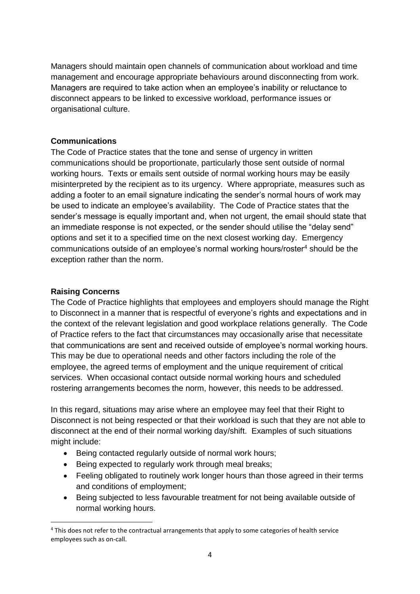Managers should maintain open channels of communication about workload and time management and encourage appropriate behaviours around disconnecting from work. Managers are required to take action when an employee's inability or reluctance to disconnect appears to be linked to excessive workload, performance issues or organisational culture.

#### **Communications**

The Code of Practice states that the tone and sense of urgency in written communications should be proportionate, particularly those sent outside of normal working hours. Texts or emails sent outside of normal working hours may be easily misinterpreted by the recipient as to its urgency. Where appropriate, measures such as adding a footer to an email signature indicating the sender's normal hours of work may be used to indicate an employee's availability. The Code of Practice states that the sender's message is equally important and, when not urgent, the email should state that an immediate response is not expected, or the sender should utilise the "delay send" options and set it to a specified time on the next closest working day. Emergency communications outside of an employee's normal working hours/roster<sup>4</sup> should be the exception rather than the norm.

## **Raising Concerns**

1

The Code of Practice highlights that employees and employers should manage the Right to Disconnect in a manner that is respectful of everyone's rights and expectations and in the context of the relevant legislation and good workplace relations generally. The Code of Practice refers to the fact that circumstances may occasionally arise that necessitate that communications are sent and received outside of employee's normal working hours. This may be due to operational needs and other factors including the role of the employee, the agreed terms of employment and the unique requirement of critical services. When occasional contact outside normal working hours and scheduled rostering arrangements becomes the norm, however, this needs to be addressed.

In this regard, situations may arise where an employee may feel that their Right to Disconnect is not being respected or that their workload is such that they are not able to disconnect at the end of their normal working day/shift. Examples of such situations might include:

- Being contacted regularly outside of normal work hours;
- Being expected to regularly work through meal breaks;
- Feeling obligated to routinely work longer hours than those agreed in their terms and conditions of employment;
- Being subjected to less favourable treatment for not being available outside of normal working hours.

<sup>4</sup> This does not refer to the contractual arrangements that apply to some categories of health service employees such as on-call.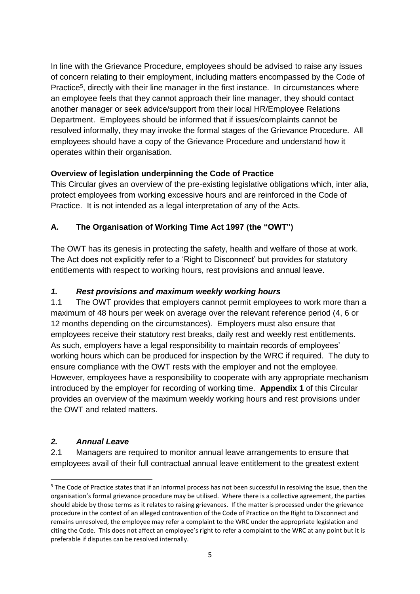In line with the Grievance Procedure, employees should be advised to raise any issues of concern relating to their employment, including matters encompassed by the Code of Practice<sup>5</sup>, directly with their line manager in the first instance. In circumstances where an employee feels that they cannot approach their line manager, they should contact another manager or seek advice/support from their local HR/Employee Relations Department. Employees should be informed that if issues/complaints cannot be resolved informally, they may invoke the formal stages of the Grievance Procedure. All employees should have a copy of the Grievance Procedure and understand how it operates within their organisation.

## **Overview of legislation underpinning the Code of Practice**

This Circular gives an overview of the pre-existing legislative obligations which, inter alia, protect employees from working excessive hours and are reinforced in the Code of Practice. It is not intended as a legal interpretation of any of the Acts.

## **A. The Organisation of Working Time Act 1997 (the "OWT")**

The OWT has its genesis in protecting the safety, health and welfare of those at work. The Act does not explicitly refer to a 'Right to Disconnect' but provides for statutory entitlements with respect to working hours, rest provisions and annual leave.

## *1. Rest provisions and maximum weekly working hours*

1.1 The OWT provides that employers cannot permit employees to work more than a maximum of 48 hours per week on average over the relevant reference period (4, 6 or 12 months depending on the circumstances). Employers must also ensure that employees receive their statutory rest breaks, daily rest and weekly rest entitlements. As such, employers have a legal responsibility to maintain records of employees' working hours which can be produced for inspection by the WRC if required. The duty to ensure compliance with the OWT rests with the employer and not the employee. However, employees have a responsibility to cooperate with any appropriate mechanism introduced by the employer for recording of working time. **Appendix 1** of this Circular provides an overview of the maximum weekly working hours and rest provisions under the OWT and related matters.

## *2. Annual Leave*

**.** 

2.1 Managers are required to monitor annual leave arrangements to ensure that employees avail of their full contractual annual leave entitlement to the greatest extent

<sup>&</sup>lt;sup>5</sup> The Code of Practice states that if an informal process has not been successful in resolving the issue, then the organisation's formal grievance procedure may be utilised. Where there is a collective agreement, the parties should abide by those terms as it relates to raising grievances. If the matter is processed under the grievance procedure in the context of an alleged contravention of the Code of Practice on the Right to Disconnect and remains unresolved, the employee may refer a complaint to the WRC under the appropriate legislation and citing the Code. This does not affect an employee's right to refer a complaint to the WRC at any point but it is preferable if disputes can be resolved internally.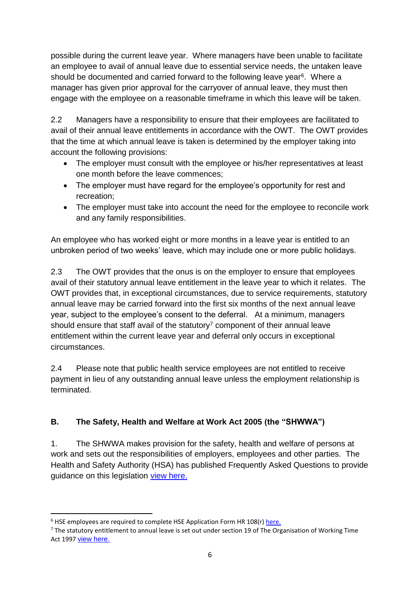possible during the current leave year. Where managers have been unable to facilitate an employee to avail of annual leave due to essential service needs, the untaken leave should be documented and carried forward to the following leave year<sup>6</sup>. Where a manager has given prior approval for the carryover of annual leave, they must then engage with the employee on a reasonable timeframe in which this leave will be taken.

2.2 Managers have a responsibility to ensure that their employees are facilitated to avail of their annual leave entitlements in accordance with the OWT. The OWT provides that the time at which annual leave is taken is determined by the employer taking into account the following provisions:

- The employer must consult with the employee or his/her representatives at least one month before the leave commences;
- The employer must have regard for the employee's opportunity for rest and recreation;
- The employer must take into account the need for the employee to reconcile work and any family responsibilities.

An employee who has worked eight or more months in a leave year is entitled to an unbroken period of two weeks' leave, which may include one or more public holidays.

2.3 The OWT provides that the onus is on the employer to ensure that employees avail of their statutory annual leave entitlement in the leave year to which it relates. The OWT provides that, in exceptional circumstances, due to service requirements, statutory annual leave may be carried forward into the first six months of the next annual leave year, subject to the employee's consent to the deferral. At a minimum, managers should ensure that staff avail of the statutory $7$  component of their annual leave entitlement within the current leave year and deferral only occurs in exceptional circumstances.

2.4 Please note that public health service employees are not entitled to receive payment in lieu of any outstanding annual leave unless the employment relationship is terminated.

# **B. The Safety, Health and Welfare at Work Act 2005 (the "SHWWA")**

1. The SHWWA makes provision for the safety, health and welfare of persons at work and sets out the responsibilities of employers, employees and other parties. The Health and Safety Authority (HSA) has published Frequently Asked Questions to provide guidance on this legislation [view here.](https://www.hsa.ie/eng/Topics/Managing_Health_and_Safety/Safety,_Health_and_Welfare_at_Work_Act_2005/)

**.** 

<sup>&</sup>lt;sup>6</sup> HSE employees are required to complete HSE Application Form HR 108(r) [here.](https://healthservice.hse.ie/staff/benefits-services/benefits/hr-forms.html)

 $<sup>7</sup>$  The statutory entitlement to annual leave is set out under section 19 of The Organisation of Working Time</sup> Act 1997 [view here.](https://revisedacts.lawreform.ie/eli/1997/act/20/section/19/revised/en/html)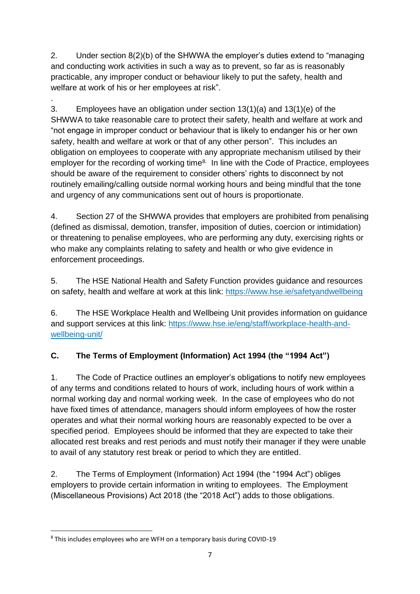2. Under section 8(2)(b) of the SHWWA the employer's duties extend to "managing and conducting work activities in such a way as to prevent, so far as is reasonably practicable, any improper conduct or behaviour likely to put the safety, health and welfare at work of his or her employees at risk".

. 3. Employees have an obligation under section 13(1)(a) and 13(1)(e) of the SHWWA to take reasonable care to protect their safety, health and welfare at work and "not engage in improper conduct or behaviour that is likely to endanger his or her own safety, health and welfare at work or that of any other person". This includes an obligation on employees to cooperate with any appropriate mechanism utilised by their employer for the recording of working time<sup>8.</sup> In line with the Code of Practice, employees should be aware of the requirement to consider others' rights to disconnect by not routinely emailing/calling outside normal working hours and being mindful that the tone and urgency of any communications sent out of hours is proportionate.

4. Section 27 of the SHWWA provides that employers are prohibited from penalising (defined as dismissal, demotion, transfer, imposition of duties, coercion or intimidation) or threatening to penalise employees, who are performing any duty, exercising rights or who make any complaints relating to safety and health or who give evidence in enforcement proceedings.

5. The HSE National Health and Safety Function provides guidance and resources on safety, health and welfare at work at this link: <https://www.hse.ie/safetyandwellbeing>

6. The HSE Workplace Health and Wellbeing Unit provides information on guidance and support services at this link: [https://www.hse.ie/eng/staff/workplace-health-and](https://www.hse.ie/eng/staff/workplace-health-and-wellbeing-unit/)[wellbeing-unit/](https://www.hse.ie/eng/staff/workplace-health-and-wellbeing-unit/)

# **C. The Terms of Employment (Information) Act 1994 (the "1994 Act")**

1. The Code of Practice outlines an employer's obligations to notify new employees of any terms and conditions related to hours of work, including hours of work within a normal working day and normal working week. In the case of employees who do not have fixed times of attendance, managers should inform employees of how the roster operates and what their normal working hours are reasonably expected to be over a specified period. Employees should be informed that they are expected to take their allocated rest breaks and rest periods and must notify their manager if they were unable to avail of any statutory rest break or period to which they are entitled.

2. The Terms of Employment (Information) Act 1994 (the "1994 Act") obliges employers to provide certain information in writing to employees. The Employment (Miscellaneous Provisions) Act 2018 (the "2018 Act") adds to those obligations.

**.** 

<sup>8</sup> This includes employees who are WFH on a temporary basis during COVID-19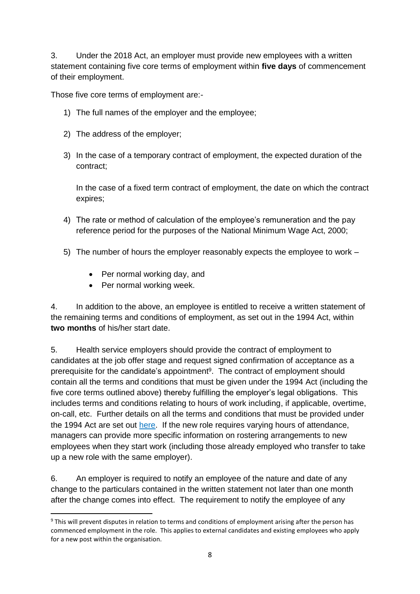3. Under the 2018 Act, an employer must provide new employees with a written statement containing five core terms of employment within **five days** of commencement of their employment.

Those five core terms of employment are:-

- 1) The full names of the employer and the employee;
- 2) The address of the employer;
- 3) In the case of a temporary contract of employment, the expected duration of the contract;

In the case of a fixed term contract of employment, the date on which the contract expires;

- 4) The rate or method of calculation of the employee's remuneration and the pay reference period for the purposes of the National Minimum Wage Act, 2000;
- 5) The number of hours the employer reasonably expects the employee to work
	- Per normal working day, and
	- Per normal working week.

**.** 

4. In addition to the above, an employee is entitled to receive a written statement of the remaining terms and conditions of employment, as set out in the 1994 Act, within **two months** of his/her start date.

5. Health service employers should provide the contract of employment to candidates at the job offer stage and request signed confirmation of acceptance as a prerequisite for the candidate's appointment<sup>9</sup>. The contract of employment should contain all the terms and conditions that must be given under the 1994 Act (including the five core terms outlined above) thereby fulfilling the employer's legal obligations. This includes terms and conditions relating to hours of work including, if applicable, overtime, on-call, etc. Further details on all the terms and conditions that must be provided under the 1994 Act are set out [here.](https://www.workplacerelations.ie/en/what_you_should_know/employer-obligations/terms-of-employment/#:~:text=The%20Terms%20of%20Employment%20(Information,two%20months%20of%20commencing%20employment) If the new role requires varying hours of attendance, managers can provide more specific information on rostering arrangements to new employees when they start work (including those already employed who transfer to take up a new role with the same employer).

6. An employer is required to notify an employee of the nature and date of any change to the particulars contained in the written statement not later than one month after the change comes into effect. The requirement to notify the employee of any

<sup>9</sup> This will prevent disputes in relation to terms and conditions of employment arising after the person has commenced employment in the role. This applies to external candidates and existing employees who apply for a new post within the organisation.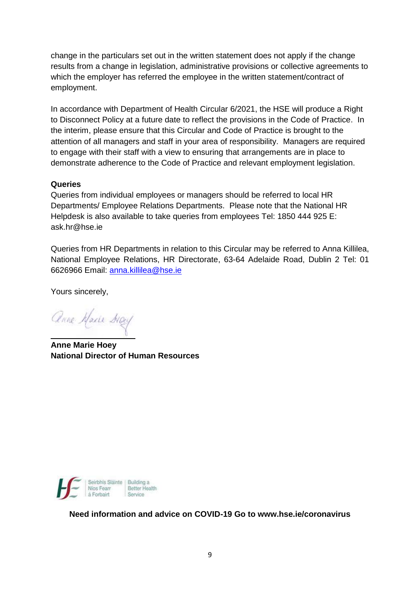change in the particulars set out in the written statement does not apply if the change results from a change in legislation, administrative provisions or collective agreements to which the employer has referred the employee in the written statement/contract of employment.

In accordance with Department of Health Circular 6/2021, the HSE will produce a Right to Disconnect Policy at a future date to reflect the provisions in the Code of Practice. In the interim, please ensure that this Circular and Code of Practice is brought to the attention of all managers and staff in your area of responsibility. Managers are required to engage with their staff with a view to ensuring that arrangements are in place to demonstrate adherence to the Code of Practice and relevant employment legislation.

#### **Queries**

Queries from individual employees or managers should be referred to local HR Departments/ Employee Relations Departments. Please note that the National HR Helpdesk is also available to take queries from employees Tel: 1850 444 925 E: [ask.hr@hse.ie](mailto:ask.hr@hse.ie)

Queries from HR Departments in relation to this Circular may be referred to Anna Killilea, National Employee Relations, HR Directorate, 63-64 Adelaide Road, Dublin 2 Tel: 01 6626966 Email: [anna.killilea@hse.ie](mailto:anna.killilea@hse.ie)

Yours sincerely,

Anne Maxie May

**Anne Marie Hoey National Director of Human Resources**



**Need information and advice on COVID-19 Go to www.hse.ie/coronavirus**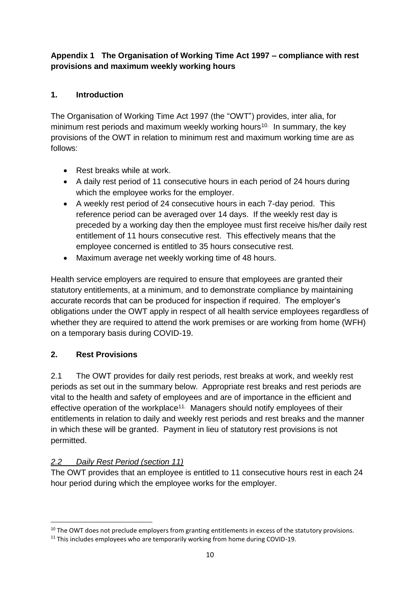## **Appendix 1 The Organisation of Working Time Act 1997 – compliance with rest provisions and maximum weekly working hours**

# **1. Introduction**

The Organisation of Working Time Act 1997 (the "OWT") provides, inter alia, for minimum rest periods and maximum weekly working hours<sup>10.</sup> In summary, the key provisions of the OWT in relation to minimum rest and maximum working time are as follows:

- Rest breaks while at work.
- A daily rest period of 11 consecutive hours in each period of 24 hours during which the employee works for the employer.
- A weekly rest period of 24 consecutive hours in each 7-day period. This reference period can be averaged over 14 days. If the weekly rest day is preceded by a working day then the employee must first receive his/her daily rest entitlement of 11 hours consecutive rest. This effectively means that the employee concerned is entitled to 35 hours consecutive rest.
- Maximum average net weekly working time of 48 hours.

Health service employers are required to ensure that employees are granted their statutory entitlements, at a minimum, and to demonstrate compliance by maintaining accurate records that can be produced for inspection if required. The employer's obligations under the OWT apply in respect of all health service employees regardless of whether they are required to attend the work premises or are working from home (WFH) on a temporary basis during COVID-19.

## **2. Rest Provisions**

1

2.1 The OWT provides for daily rest periods, rest breaks at work, and weekly rest periods as set out in the summary below. Appropriate rest breaks and rest periods are vital to the health and safety of employees and are of importance in the efficient and effective operation of the workplace<sup>11.</sup> Managers should notify employees of their entitlements in relation to daily and weekly rest periods and rest breaks and the manner in which these will be granted. Payment in lieu of statutory rest provisions is not permitted.

## *2.2 Daily Rest Period (section 11)*

The OWT provides that an employee is entitled to 11 consecutive hours rest in each 24 hour period during which the employee works for the employer.

<sup>&</sup>lt;sup>10</sup> The OWT does not preclude employers from granting entitlements in excess of the statutory provisions.

<sup>&</sup>lt;sup>11</sup> This includes employees who are temporarily working from home during COVID-19.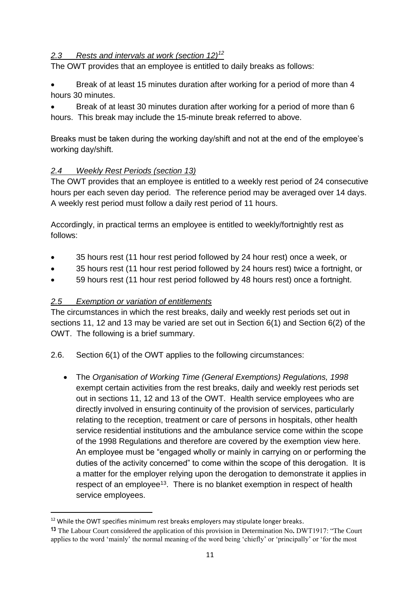## *2.3 Rests and intervals at work (section 12)<sup>12</sup>*

The OWT provides that an employee is entitled to daily breaks as follows:

 Break of at least 15 minutes duration after working for a period of more than 4 hours 30 minutes.

 Break of at least 30 minutes duration after working for a period of more than 6 hours. This break may include the 15-minute break referred to above.

Breaks must be taken during the working day/shift and not at the end of the employee's working day/shift.

## *2.4 Weekly Rest Periods (section 13)*

The OWT provides that an employee is entitled to a weekly rest period of 24 consecutive hours per each seven day period. The reference period may be averaged over 14 days. A weekly rest period must follow a daily rest period of 11 hours.

Accordingly, in practical terms an employee is entitled to weekly/fortnightly rest as follows:

- 35 hours rest (11 hour rest period followed by 24 hour rest) once a week, or
- 35 hours rest (11 hour rest period followed by 24 hours rest) twice a fortnight, or
- 59 hours rest (11 hour rest period followed by 48 hours rest) once a fortnight.

#### *2.5 Exemption or variation of entitlements*

**.** 

The circumstances in which the rest breaks, daily and weekly rest periods set out in sections 11, 12 and 13 may be varied are set out in Section 6(1) and Section 6(2) of the OWT. The following is a brief summary.

- 2.6. Section 6(1) of the OWT applies to the following circumstances:
	- The *Organisation of Working Time (General Exemptions) Regulations, 1998*  exempt certain activities from the rest breaks, daily and weekly rest periods set out in sections 11, 12 and 13 of the OWT. Health service employees who are directly involved in ensuring continuity of the provision of services, particularly relating to the reception, treatment or care of persons in hospitals, other health service residential institutions and the ambulance service come within the scope of the 1998 Regulations and therefore are covered by the exemption [view here.](http://www.irishstatutebook.ie/eli/1998/si/21/made/en/print)  An employee must be "engaged wholly or mainly in carrying on or performing the duties of the activity concerned" to come within the scope of this derogation. It is a matter for the employer relying upon the derogation to demonstrate it applies in respect of an employee<sup>13</sup>. There is no blanket exemption in respect of health service employees.

 $12$  While the OWT specifies minimum rest breaks employers may stipulate longer breaks.

**<sup>13</sup>** The Labour Court considered the application of this provision in Determination No**.** DWT1917: "The Court applies to the word 'mainly' the normal meaning of the word being 'chiefly' or 'principally' or 'for the most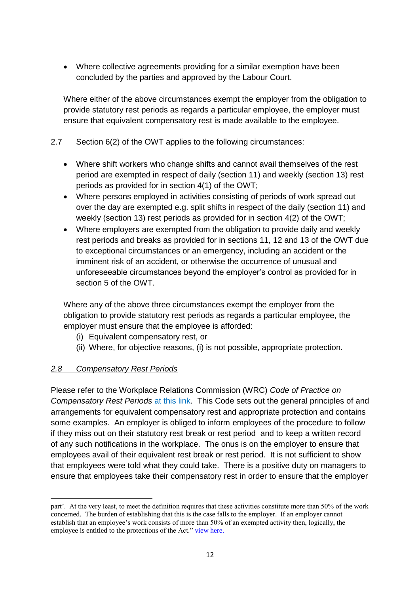Where collective agreements providing for a similar exemption have been concluded by the parties and approved by the Labour Court.

Where either of the above circumstances exempt the employer from the obligation to provide statutory rest periods as regards a particular employee, the employer must ensure that equivalent compensatory rest is made available to the employee.

#### 2.7 Section 6(2) of the OWT applies to the following circumstances:

- Where shift workers who change shifts and cannot avail themselves of the rest period are exempted in respect of daily (section 11) and weekly (section 13) rest periods as provided for in section 4(1) of the OWT;
- Where persons employed in activities consisting of periods of work spread out over the day are exempted e.g. split shifts in respect of the daily (section 11) and weekly (section 13) rest periods as provided for in section 4(2) of the OWT;
- Where employers are exempted from the obligation to provide daily and weekly rest periods and breaks as provided for in sections 11, 12 and 13 of the OWT due to exceptional circumstances or an emergency, including an accident or the imminent risk of an accident, or otherwise the occurrence of unusual and unforeseeable circumstances beyond the employer's control as provided for in section 5 of the OWT.

Where any of the above three circumstances exempt the employer from the obligation to provide statutory rest periods as regards a particular employee, the employer must ensure that the employee is afforded:

- (i) Equivalent compensatory rest, or
- (ii) Where, for objective reasons, (i) is not possible, appropriate protection.

#### *2.8 Compensatory Rest Periods*

 $\overline{a}$ 

Please refer to the Workplace Relations Commission (WRC) *Code of Practice on Compensatory Rest Periods* [at this link.](https://www.workplacerelations.ie/en/what_you_should_know/codes_practice/cop8/) This Code sets out the general principles of and arrangements for equivalent compensatory rest and appropriate protection and contains some examples. An employer is obliged to inform employees of the procedure to follow if they miss out on their statutory rest break or rest period and to keep a written record of any such notifications in the workplace. The onus is on the employer to ensure that employees avail of their equivalent rest break or rest period. It is not sufficient to show that employees were told what they could take. There is a positive duty on managers to ensure that employees take their compensatory rest in order to ensure that the employer

part'. At the very least, to meet the definition requires that these activities constitute more than 50% of the work concerned. The burden of establishing that this is the case falls to the employer. If an employer cannot establish that an employee's work consists of more than 50% of an exempted activity then, logically, the employee is entitled to the protections of the Act." [view here.](https://www.workplacerelations.ie/en/cases/2019/august/dwt1917.html)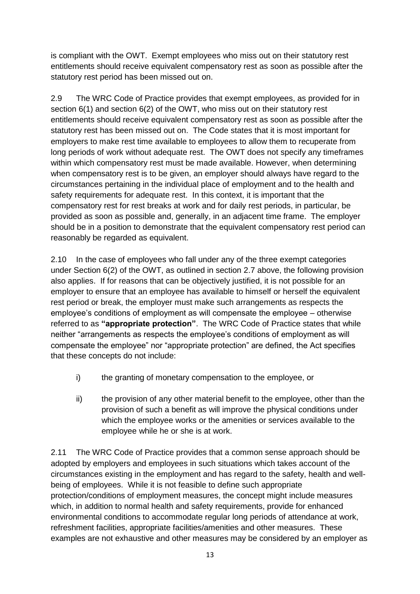is compliant with the OWT. Exempt employees who miss out on their statutory rest entitlements should receive equivalent compensatory rest as soon as possible after the statutory rest period has been missed out on.

2.9 The WRC Code of Practice provides that exempt employees, as provided for in section 6(1) and section 6(2) of the OWT, who miss out on their statutory rest entitlements should receive equivalent compensatory rest as soon as possible after the statutory rest has been missed out on. The Code states that it is most important for employers to make rest time available to employees to allow them to recuperate from long periods of work without adequate rest. The OWT does not specify any timeframes within which compensatory rest must be made available. However, when determining when compensatory rest is to be given, an employer should always have regard to the circumstances pertaining in the individual place of employment and to the health and safety requirements for adequate rest. In this context, it is important that the compensatory rest for rest breaks at work and for daily rest periods, in particular, be provided as soon as possible and, generally, in an adjacent time frame. The employer should be in a position to demonstrate that the equivalent compensatory rest period can reasonably be regarded as equivalent.

2.10 In the case of employees who fall under any of the three exempt categories under Section 6(2) of the OWT, as outlined in section 2.7 above, the following provision also applies. If for reasons that can be objectively justified, it is not possible for an employer to ensure that an employee has available to himself or herself the equivalent rest period or break, the employer must make such arrangements as respects the employee's conditions of employment as will compensate the employee – otherwise referred to as **"appropriate protection"**. The WRC Code of Practice states that while neither "arrangements as respects the employee's conditions of employment as will compensate the employee" nor "appropriate protection" are defined, the Act specifies that these concepts do not include:

- i) the granting of monetary compensation to the employee, or
- ii) the provision of any other material benefit to the employee, other than the provision of such a benefit as will improve the physical conditions under which the employee works or the amenities or services available to the employee while he or she is at work.

2.11 The WRC Code of Practice provides that a common sense approach should be adopted by employers and employees in such situations which takes account of the circumstances existing in the employment and has regard to the safety, health and wellbeing of employees. While it is not feasible to define such appropriate protection/conditions of employment measures, the concept might include measures which, in addition to normal health and safety requirements, provide for enhanced environmental conditions to accommodate regular long periods of attendance at work, refreshment facilities, appropriate facilities/amenities and other measures. These examples are not exhaustive and other measures may be considered by an employer as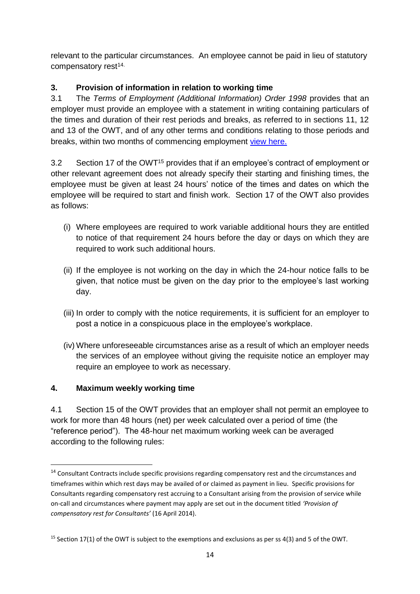relevant to the particular circumstances. An employee cannot be paid in lieu of statutory compensatory rest<sup>14.</sup>

# **3. Provision of information in relation to working time**

3.1 The *Terms of Employment (Additional Information) Order 1998* provides that an employer must provide an employee with a statement in writing containing particulars of the times and duration of their rest periods and breaks, as referred to in sections 11, 12 and 13 of the OWT, and of any other terms and conditions relating to those periods and breaks, within two months of commencing employment [view here.](http://www.irishstatutebook.ie/eli/1998/si/49/made/en/print#:~:text=This%20Order%20provides%20that%20where,and%20duration%20of%20(and%20any)

3.2 Section 17 of the OWT<sup>15</sup> provides that if an employee's contract of employment or other relevant agreement does not already specify their starting and finishing times, the employee must be given at least 24 hours' notice of the times and dates on which the employee will be required to start and finish work. Section 17 of the OWT also provides as follows:

- (i) Where employees are required to work variable additional hours they are entitled to notice of that requirement 24 hours before the day or days on which they are required to work such additional hours.
- (ii) If the employee is not working on the day in which the 24-hour notice falls to be given, that notice must be given on the day prior to the employee's last working day.
- (iii) In order to comply with the notice requirements, it is sufficient for an employer to post a notice in a conspicuous place in the employee's workplace.
- (iv) Where unforeseeable circumstances arise as a result of which an employer needs the services of an employee without giving the requisite notice an employer may require an employee to work as necessary.

# **4. Maximum weekly working time**

**.** 

4.1 Section 15 of the OWT provides that an employer shall not permit an employee to work for more than 48 hours (net) per week calculated over a period of time (the "reference period"). The 48-hour net maximum working week can be averaged according to the following rules:

<sup>&</sup>lt;sup>14</sup> Consultant Contracts include specific provisions regarding compensatory rest and the circumstances and timeframes within which rest days may be availed of or claimed as payment in lieu. Specific provisions for Consultants regarding compensatory rest accruing to a Consultant arising from the provision of service while on-call and circumstances where payment may apply are set out in the document titled *'Provision of compensatory rest for Consultants'* (16 April 2014).

<sup>&</sup>lt;sup>15</sup> Section 17(1) of the OWT is subject to the exemptions and exclusions as per ss 4(3) and 5 of the OWT.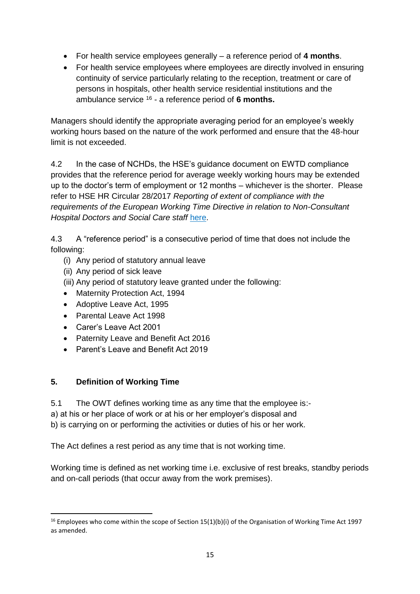- For health service employees generally a reference period of **4 months**.
- For health service employees where employees are directly involved in ensuring continuity of service particularly relating to the reception, treatment or care of persons in hospitals, other health service residential institutions and the ambulance service <sup>16</sup> - a reference period of **6 months.**

Managers should identify the appropriate averaging period for an employee's weekly working hours based on the nature of the work performed and ensure that the 48-hour limit is not exceeded.

4.2 In the case of NCHDs, the HSE's guidance document on EWTD compliance provides that the reference period for average weekly working hours may be extended up to the doctor's term of employment or 12 months – whichever is the shorter. Please refer to HSE HR Circular 28/2017 *Reporting of extent of compliance with the requirements of the European Working Time Directive in relation to Non-Consultant Hospital Doctors and Social Care staff* [here.](https://www.hse.ie/eng/staff/resources/hr-circulars/hr-circular-028-2017-re-reporting-of-extent-of-compliance-with-the-requirements-of-the-european-working-time-directive-in-relation-to-non-consultant-hospital-doctors-and-social-care-staff.html)

4.3 A "reference period" is a consecutive period of time that does not include the following:

- (i) Any period of statutory annual leave
- (ii) Any period of sick leave
- (iii) Any period of statutory leave granted under the following:
- Maternity Protection Act, 1994
- Adoptive Leave Act, 1995
- Parental Leave Act 1998
- Carer's Leave Act 2001
- Paternity Leave and Benefit Act 2016
- Parent's Leave and Benefit Act 2019

## **5. Definition of Working Time**

**.** 

5.1 The OWT defines working time as any time that the employee is:-

a) at his or her place of work or at his or her employer's disposal and

b) is carrying on or performing the activities or duties of his or her work.

The Act defines a rest period as any time that is not working time.

Working time is defined as net working time i.e. exclusive of rest breaks, standby periods and on-call periods (that occur away from the work premises).

<sup>&</sup>lt;sup>16</sup> Employees who come within the scope of Section 15(1)(b)(i) of the Organisation of Working Time Act 1997 as amended.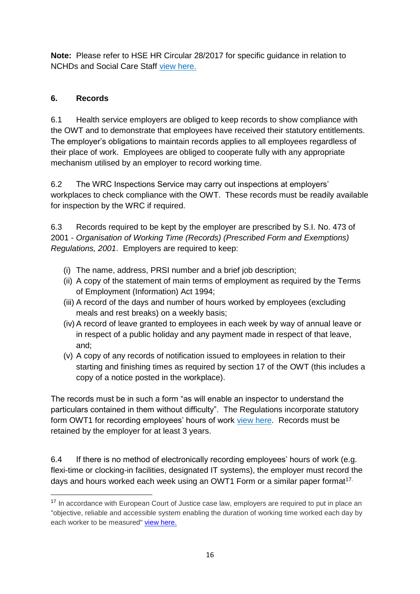**Note:** Please refer to HSE HR Circular 28/2017 for specific guidance in relation to NCHDs and Social Care Staff [view here.](https://www.hse.ie/eng/staff/resources/hr-circulars/hr-circular-028-2017-re-reporting-of-extent-of-compliance-with-the-requirements-of-the-european-working-time-directive-in-relation-to-non-consultant-hospital-doctors-and-social-care-staff.html)

# **6. Records**

6.1 Health service employers are obliged to keep records to show compliance with the OWT and to demonstrate that employees have received their statutory entitlements. The employer's obligations to maintain records applies to all employees regardless of their place of work. Employees are obliged to cooperate fully with any appropriate mechanism utilised by an employer to record working time.

6.2 The WRC Inspections Service may carry out inspections at employers' workplaces to check compliance with the OWT. These records must be readily available for inspection by the WRC if required.

6.3 Records required to be kept by the employer are prescribed by S.I. No. 473 of 2001 - *Organisation of Working Time (Records) (Prescribed Form and Exemptions) Regulations, 2001*. Employers are required to keep:

- (i) The name, address, PRSI number and a brief job description;
- (ii) A copy of the statement of main terms of employment as required by the Terms of Employment (Information) Act 1994;
- (iii) A record of the days and number of hours worked by employees (excluding meals and rest breaks) on a weekly basis;
- (iv) A record of leave granted to employees in each week by way of annual leave or in respect of a public holiday and any payment made in respect of that leave, and;
- (v) A copy of any records of notification issued to employees in relation to their starting and finishing times as required by section 17 of the OWT (this includes a copy of a notice posted in the workplace).

The records must be in such a form "as will enable an inspector to understand the particulars contained in them without difficulty". The Regulations incorporate statutory form OWT1 for recording employees' hours of work [view here.](http://www.irishstatutebook.ie/eli/2001/si/473/made/en/print) Records must be retained by the employer for at least 3 years.

6.4 If there is no method of electronically recording employees' hours of work (e.g. flexi-time or clocking-in facilities, designated IT systems), the employer must record the days and hours worked each week using an OWT1 Form or a similar paper format<sup>17.</sup>

**<sup>.</sup>** <sup>17</sup> In accordance with European Court of Justice case law, employers are required to put in place an "objective, reliable and accessible system enabling the duration of working time worked each day by each worker to be measured" [view here.](https://www.bailii.org/eu/cases/EUECJ/2019/C5518.html)